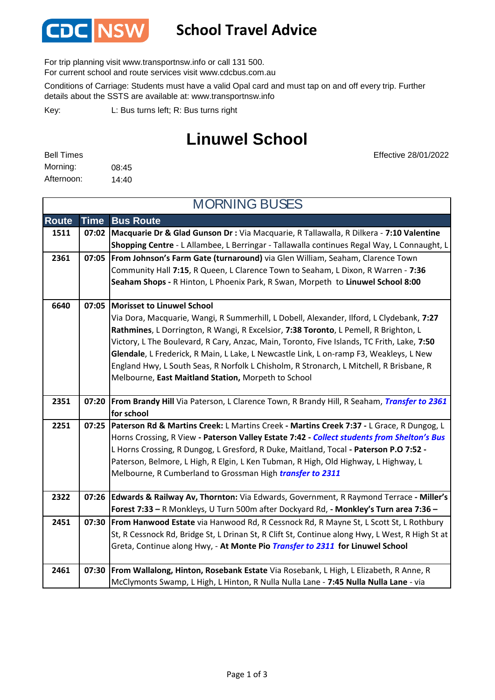

## **School Travel Advice**

For trip planning visit www.transportnsw.info or call 131 500.

For current school and route services visit www.cdcbus.com.au

Conditions of Carriage: Students must have a valid Opal card and must tap on and off every trip. Further details about the SSTS are available at: www.transportnsw.info

L: Bus turns left; R: Bus turns right Key:

## **Linuwel School**

| <b>Bell Times</b> |       |
|-------------------|-------|
| Morning:          | 08:45 |
| Afternoon:        | 14:40 |

Effective 28/01/2022

| <b>MORNING BUSES</b> |             |                                                                                                                                                                                                                                                                                                                                                                                                                                                                                                                                                                 |
|----------------------|-------------|-----------------------------------------------------------------------------------------------------------------------------------------------------------------------------------------------------------------------------------------------------------------------------------------------------------------------------------------------------------------------------------------------------------------------------------------------------------------------------------------------------------------------------------------------------------------|
| <b>Route</b>         | <b>Time</b> | <b>Bus Route</b>                                                                                                                                                                                                                                                                                                                                                                                                                                                                                                                                                |
| 1511                 | 07:02       | Macquarie Dr & Glad Gunson Dr : Via Macquarie, R Tallawalla, R Dilkera - 7:10 Valentine<br>Shopping Centre - L Allambee, L Berringar - Tallawalla continues Regal Way, L Connaught, L                                                                                                                                                                                                                                                                                                                                                                           |
| 2361                 | 07:05       | From Johnson's Farm Gate (turnaround) via Glen William, Seaham, Clarence Town<br>Community Hall 7:15, R Queen, L Clarence Town to Seaham, L Dixon, R Warren - 7:36<br>Seaham Shops - R Hinton, L Phoenix Park, R Swan, Morpeth to Linuwel School 8:00                                                                                                                                                                                                                                                                                                           |
| 6640                 | 07:05       | <b>Morisset to Linuwel School</b><br>Via Dora, Macquarie, Wangi, R Summerhill, L Dobell, Alexander, Ilford, L Clydebank, 7:27<br>Rathmines, L Dorrington, R Wangi, R Excelsior, 7:38 Toronto, L Pemell, R Brighton, L<br>Victory, L The Boulevard, R Cary, Anzac, Main, Toronto, Five Islands, TC Frith, Lake, 7:50<br>Glendale, L Frederick, R Main, L Lake, L Newcastle Link, L on-ramp F3, Weakleys, L New<br>England Hwy, L South Seas, R Norfolk L Chisholm, R Stronarch, L Mitchell, R Brisbane, R<br>Melbourne, East Maitland Station, Morpeth to School |
| 2351                 | 07:20       | From Brandy Hill Via Paterson, L Clarence Town, R Brandy Hill, R Seaham, Transfer to 2361<br>for school                                                                                                                                                                                                                                                                                                                                                                                                                                                         |
| 2251                 | 07:25       | Paterson Rd & Martins Creek: L Martins Creek - Martins Creek 7:37 - L Grace, R Dungog, L<br>Horns Crossing, R View - Paterson Valley Estate 7:42 - Collect students from Shelton's Bus<br>L Horns Crossing, R Dungog, L Gresford, R Duke, Maitland, Tocal - Paterson P.O 7:52 -<br>Paterson, Belmore, L High, R Elgin, L Ken Tubman, R High, Old Highway, L Highway, L<br>Melbourne, R Cumberland to Grossman High <i>transfer to 2311</i>                                                                                                                      |
| 2322                 | 07:26       | Edwards & Railway Av, Thornton: Via Edwards, Government, R Raymond Terrace - Miller's<br>Forest 7:33 - R Monkleys, U Turn 500m after Dockyard Rd, - Monkley's Turn area 7:36 -                                                                                                                                                                                                                                                                                                                                                                                  |
| 2451                 | 07:30       | From Hanwood Estate via Hanwood Rd, R Cessnock Rd, R Mayne St, L Scott St, L Rothbury<br>St, R Cessnock Rd, Bridge St, L Drinan St, R Clift St, Continue along Hwy, L West, R High St at<br>Greta, Continue along Hwy, - At Monte Pio Transfer to 2311 for Linuwel School                                                                                                                                                                                                                                                                                       |
| 2461                 | 07:30       | From Wallalong, Hinton, Rosebank Estate Via Rosebank, L High, L Elizabeth, R Anne, R<br>McClymonts Swamp, L High, L Hinton, R Nulla Nulla Lane - 7:45 Nulla Nulla Lane - via                                                                                                                                                                                                                                                                                                                                                                                    |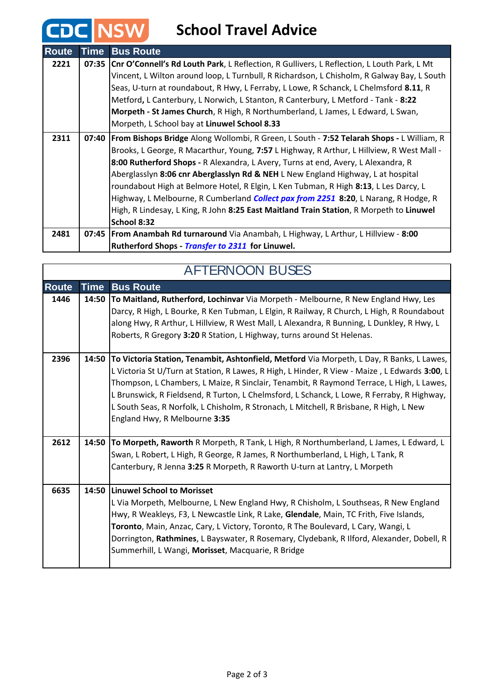## **CDC** NSW School Travel Advice

| <b>Route</b> | <b>Time</b> | <b>Bus Route</b>                                                                                 |
|--------------|-------------|--------------------------------------------------------------------------------------------------|
| 2221         | 07:35       | Cnr O'Connell's Rd Louth Park, L Reflection, R Gullivers, L Reflection, L Louth Park, L Mt       |
|              |             | Vincent, L Wilton around loop, L Turnbull, R Richardson, L Chisholm, R Galway Bay, L South       |
|              |             | Seas, U-turn at roundabout, R Hwy, L Ferraby, L Lowe, R Schanck, L Chelmsford 8.11, R            |
|              |             | Metford, L Canterbury, L Norwich, L Stanton, R Canterbury, L Metford - Tank - 8:22               |
|              |             | Morpeth - St James Church, R High, R Northumberland, L James, L Edward, L Swan,                  |
|              |             | Morpeth, L School bay at Linuwel School 8.33                                                     |
| 2311         |             | 07:40   From Bishops Bridge Along Wollombi, R Green, L South - 7:52 Telarah Shops - L William, R |
|              |             | Brooks, L George, R Macarthur, Young, 7:57 L Highway, R Arthur, L Hillview, R West Mall -        |
|              |             | 8:00 Rutherford Shops - R Alexandra, L Avery, Turns at end, Avery, L Alexandra, R                |
|              |             | Aberglasslyn 8:06 cnr Aberglasslyn Rd & NEH L New England Highway, L at hospital                 |
|              |             | roundabout High at Belmore Hotel, R Elgin, L Ken Tubman, R High 8:13, L Les Darcy, L             |
|              |             | Highway, L Melbourne, R Cumberland Collect pax from 2251 8:20, L Narang, R Hodge, R              |
|              |             | High, R Lindesay, L King, R John 8:25 East Maitland Train Station, R Morpeth to Linuwel          |
|              |             | School 8:32                                                                                      |
| 2481         |             | 07:45   From Anambah Rd turnaround Via Anambah, L Highway, L Arthur, L Hillview - 8:00           |
|              |             | Rutherford Shops - Transfer to 2311 for Linuwel.                                                 |

| <b>AFTERNOON BUSES</b> |             |                                                                                                                                                                                                                                                                                                                                                                                                                                                                                                                 |
|------------------------|-------------|-----------------------------------------------------------------------------------------------------------------------------------------------------------------------------------------------------------------------------------------------------------------------------------------------------------------------------------------------------------------------------------------------------------------------------------------------------------------------------------------------------------------|
| <b>Route</b>           | <b>Time</b> | <b>Bus Route</b>                                                                                                                                                                                                                                                                                                                                                                                                                                                                                                |
| 1446                   | 14:50       | To Maitland, Rutherford, Lochinvar Via Morpeth - Melbourne, R New England Hwy, Les<br>Darcy, R High, L Bourke, R Ken Tubman, L Elgin, R Railway, R Church, L High, R Roundabout<br>along Hwy, R Arthur, L Hillview, R West Mall, L Alexandra, R Bunning, L Dunkley, R Hwy, L<br>Roberts, R Gregory 3:20 R Station, L Highway, turns around St Helenas.                                                                                                                                                          |
| 2396                   | 14:50       | To Victoria Station, Tenambit, Ashtonfield, Metford Via Morpeth, L Day, R Banks, L Lawes,<br>L Victoria St U/Turn at Station, R Lawes, R High, L Hinder, R View - Maize, L Edwards 3:00, L<br>Thompson, L Chambers, L Maize, R Sinclair, Tenambit, R Raymond Terrace, L High, L Lawes,<br>L Brunswick, R Fieldsend, R Turton, L Chelmsford, L Schanck, L Lowe, R Ferraby, R Highway,<br>L South Seas, R Norfolk, L Chisholm, R Stronach, L Mitchell, R Brisbane, R High, L New<br>England Hwy, R Melbourne 3:35 |
| 2612                   | 14:50       | To Morpeth, Raworth R Morpeth, R Tank, L High, R Northumberland, L James, L Edward, L<br>Swan, L Robert, L High, R George, R James, R Northumberland, L High, L Tank, R<br>Canterbury, R Jenna 3:25 R Morpeth, R Raworth U-turn at Lantry, L Morpeth                                                                                                                                                                                                                                                            |
| 6635                   |             | 14:50 Linuwel School to Morisset<br>L Via Morpeth, Melbourne, L New England Hwy, R Chisholm, L Southseas, R New England<br>Hwy, R Weakleys, F3, L Newcastle Link, R Lake, Glendale, Main, TC Frith, Five Islands,<br>Toronto, Main, Anzac, Cary, L Victory, Toronto, R The Boulevard, L Cary, Wangi, L<br>Dorrington, Rathmines, L Bayswater, R Rosemary, Clydebank, R Ilford, Alexander, Dobell, R<br>Summerhill, L Wangi, Morisset, Macquarie, R Bridge                                                       |